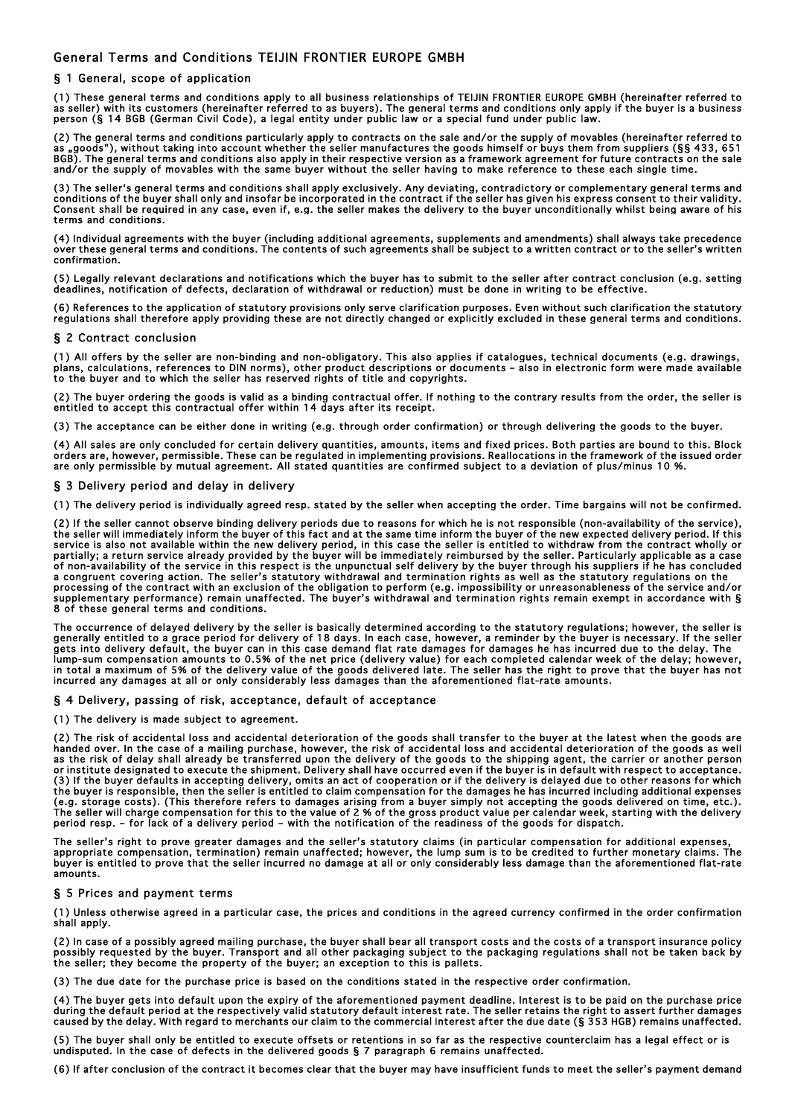# General Terms and Conditions TEIJIN FRONTIER EUROPE GMBH

## § 1 General, scope of application

(1) These general terms and conditions apply to all business relationships of TEIJIN FRONTIER EUROPE GMBH (hereinafter referred to as seller) with its customers (hereinafter referred to as buyers). The general terms and conditions only apply if the buyer is a business<br>person (§ 14 BGB (German Civil Code), a legal entity under public law or a special f

(2) The general terms and conditions particularly apply to contracts on the sale and/or the supply of movables (hereinafter referred to as "goods"), without taking into account whether the seller manufactures the goods himself or buys them from suppliers (§§ 433, 651 BGB). The general terms and conditions also apply in their respective version as a framework agreement for future contracts on the sale and/or the supply of movables with the same buyer without the seller having to make reference to these each single time.

(3) The seller's general terms and conditions shall apply exclusively. Any deviating, contradictory or complementary general terms and<br>conditions of the buyer shall only and insofar be incorporated in the contract if the s Consent shall be required in any case, even if, e.g. the seller makes the delivery to the buyer unconditionally whilst being aware of his terms and conditions.

(4) Individual agreements with the buyer (including additional agreements, supplements and amendments) shall always take precedence<br>over these general terms and conditions. The contents of such agreements shall be subject confirmation.

(5) Legally relevant declarations and notifications which the buyer has to submit to the seller after contract conclusion (e.g. setting deadlines, notification of defects, declaration of withdrawal or reduction) must be done in writing to be effective.

(6) References to the application of statutory provisions only serve clarification purposes. Even without such clarification the statutory regulations shall therefore apply providing these are not directly changed or explicitly excluded in these general terms and conditions.

## § 2 Contract conclusion

(1) All offers by the seller are non-binding and non-obligatory. This also applies if catalogues, technical documents (e.g. drawings, plans, calculations, references to DIN norms), other product descriptions or documents – also in electronic form were made available to the buyer and to which the seller has reserved rights of title and copyrights.

(2) The buyer ordering the goods is valid as a binding contractual offer. If nothing to the contrary results from the order, the seller is entitled to accept this contractual offer within 14 days after its receipt.

(3) The acceptance can be either done in writing (e.g. through order confirmation) or through delivering the goods to the buyer.

(4) All sales are only concluded for certain delivery quantities, amounts, items and fixed prices. Both parties are bound to this. Block orders are, however, permissible. These can be regulated in implementing provisions. Reallocations in the framework of the issued order<br>are only permissible by mutual agreement. All stated quantities are confirmed subject

#### § 3 Delivery period and delay in delivery

(1) The delivery period is individually agreed resp. stated by the seller when accepting the order. Time bargains will not be confirmed.

(2) If the seller cannot observe binding delivery periods due to reasons for which he is not responsible (non-availability of the service), the seller will immediately inform the buyer of this fact and at the same time inform the buyer of the new expected delivery period. If this<br>service is also not available within the new delivery period, in this case the se partially; a return service already provided by the buyer will be immediately reimbursed by the seller. Particularly applicable as a case<br>of non-availability of the service in this respect is the unpunctual self delivery b a congruent covering action. The seller's statutory withdrawal and termination rights as well as the statutory regulations on the processing of the contract with an exclusion of the obligation to perform (e.g. impossibility or unreasonableness of the service and/or supplementary performance) remain unaffected. The buyer's withdrawal and termination rights remain exempt in accordance with § 8 of these general terms and conditions.

The occurrence of delayed delivery by the seller is basically determined according to the statutory regulations; however, the seller is<br>generally entitled to a grace period for delivery of 18 days. In each case, however, a gets into delivery default, the buyer can in this case demand flat rate damages for damages he has incurred due to the delay. The<br>lump-sum compensation amounts to 0.5% of the net price (delivery value) for each completed c in total a maximum of 5% of the delivery value of the goods delivered late. The seller has the right to prove that the buyer has not<br>incurred any damages at all or only considerably less damages than the aforementioned fla

## § 4 Delivery, passing of risk, acceptance, default of acceptance

(1) The delivery is made subject to agreement.

(2) The risk of accidental loss and accidental deterioration of the goods shall transfer to the buyer at the latest when the goods are handed over. In the case of a mailing purchase, however, the risk of accidental loss and accidental deterioration of the goods as well as the risk of delay shall already be transferred upon the delivery of the goods to the shipping agent, the carrier or another person or institute designated to execute the shipment. Delivery shall have occurred even if the buyer is in default with respect to acceptance. (3) If the buyer defaults in accepting delivery, omits an act of cooperation or if the delivery is delayed due to other reasons for which the buyer is responsible, then the seller is entitled to claim compensation for the damages he has incurred including additional expenses<br>(e.g. storage costs). (This therefore refers to damages arising from a buyer simply The seller will charge compensation for this to the value of 2 % of the gross product value per calendar week, starting with the delivery<br>period resp. – for lack of a delivery period – with the notification of the readines

The seller's right to prove greater damages and the seller's statutory claims (in particular compensation for additional expenses,<br>appropriate compensation, termination) remain unaffected; however, the lump sum is to be cr buyer is entitled to prove that the seller incurred no damage at all or only considerably less damage than the aforementioned flat-rate amounts.

## § 5 Prices and payment terms

(1) Unless otherwise agreed in a particular case, the prices and conditions in the agreed currency confirmed in the order confirmation shall apply.

(2) In case of a possibly agreed mailing purchase, the buyer shall bear all transport costs and the costs of a transport insurance policy<br>possibly requested by the buyer. Transport and all other packaging subject to the pa the seller; they become the property of the buyer; an exception to this is pallets.

(3) The due date for the purchase price is based on the conditions stated in the respective order confirmation.

(4) The buyer gets into default upon the expiry of the aforementioned payment deadline. Interest is to be paid on the purchase price during the default period at the respectively valid statutory default interest rate. The seller retains the right to assert further damages caused by the delay. With regard to merchants our claim to the commercial interest after the due date (§ 353 HGB) remains unaffected.

(5) The buyer shall only be entitled to execute offsets or retentions in so far as the respective counterclaim has a legal effect or is undisputed. In the case of defects in the delivered goods § 7 paragraph 6 remains unaffected.

(6) If after conclusion of the contract it becomes clear that the buyer may have insufficient funds to meet the seller's payment demand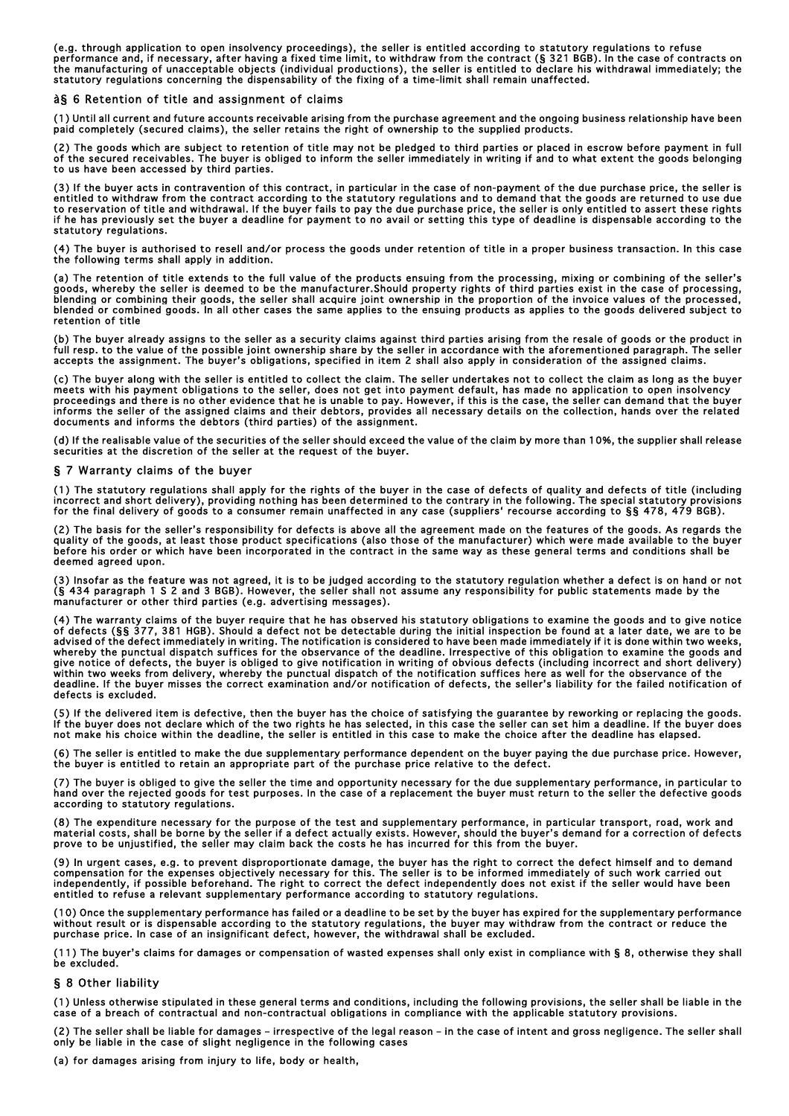(e.g. through application to open insolvency proceedings), the seller is entitled according to statutory regulations to refuse performance and, if necessary, after having a fixed time limit, to withdraw from the contract (§ 321 BGB). In the case of contracts on the manufacturing of unacceptable objects (individual productions), the seller is entitled to declare his withdrawal immediately; the<br>statutory regulations concerning the dispensability of the fixing of a time-limit shall

#### à§ 6 Retention of title and assignment of claims

(1) Until all current and future accounts receivable arising from the purchase agreement and the ongoing business relationship have been paid completely (secured claims), the seller retains the right of ownership to the supplied products.

(2) The goods which are subject to retention of title may not be pledged to third parties or placed in escrow before payment in full of the secured receivables. The buyer is obliged to inform the seller immediately in writing if and to what extent the goods belonging to us have been accessed by third parties.

(3) If the buyer acts in contravention of this contract, in particular in the case of non-payment of the due purchase price, the seller is<br>entitled to withdraw from the contract according to the statutory regulations and t to reservation of title and withdrawal. If the buyer fails to pay the due purchase price, the seller is only entitled to assert these rights<br>if he has previously set the buyer a deadline for payment to no avail or setting statutory regulations.

(4) The buyer is authorised to resell and/or process the goods under retention of title in a proper business transaction. In this case the following terms shall apply in addition.

(a) The retention of title extends to the full value of the products ensuing from the processing, mixing or combining of the seller's goods, whereby the seller is deemed to be the manufacturer.Should property rights of third parties exist in the case of processing, blending or combining their goods, the seller shall acquire joint ownership in the proportion of the invoice values of the processed,<br>blended or combined goods. In all other cases the same applies to the ensuing products a retention of title

(b) The buyer already assigns to the seller as a security claims against third parties arising from the resale of goods or the product in full resp. to the value of the possible joint ownership share by the seller in accordance with the aforementioned paragraph. The seller<br>accepts the assignment. The buyer's obligations, specified in item 2 shall also apply

(c) The buyer along with the seller is entitled to collect the claim. The seller undertakes not to collect the claim as long as the buyer meets with his payment obligations to the seller, does not get into payment default, has made no application to open insolvency proceedings and there is no other evidence that he is unable to pay. However, if this is the case, the seller can demand that the buyer<br>informs the seller of the assigned claims and their debtors, provides all necessary de documents and informs the debtors (third parties) of the assignment.

(d) If the realisable value of the securities of the seller should exceed the value of the claim by more than 10%, the supplier shall release securities at the discretion of the seller at the request of the buyer.

#### § 7 Warranty claims of the buyer

(1) The statutory regulations shall apply for the rights of the buyer in the case of defects of quality and defects of title (including incorrect and short delivery), providing nothing has been determined to the contrary in the following. The special statutory provisions<br>for the final delivery of goods to a consumer remain unaffected in any case (suppliers

(2) The basis for the seller's responsibility for defects is above all the agreement made on the features of the goods. As regards the quality of the goods, at least those product specifications (also those of the manufacturer) which were made available to the buyer before his order or which have been incorporated in the contract in the same way as these general terms and conditions shall be deemed agreed upon.

(3) Insofar as the feature was not agreed, it is to be judged according to the statutory regulation whether a defect is on hand or not (§ 434 paragraph 1 S 2 and 3 BGB). However, the seller shall not assume any responsibility for public statements made by the manufacturer or other third parties (e.g. advertising messages).

(4) The warranty claims of the buyer require that he has observed his statutory obligations to examine the goods and to give notice of defects (§§ 377, 381 HGB). Should a defect not be detectable during the initial inspection be found at a later date, we are to be<br>advised of the defect immediately in writing. The notification is considered to have been whereby the punctual dispatch suffices for the observance of the deadline. Irrespective of this obligation to examine the goods and give notice of defects, the buyer is obliged to give notification in writing of obvious defects (including incorrect and short delivery) within two weeks from delivery, whereby the punctual dispatch of the notification suffices here as well for the observance of the deadline. If the buyer misses the correct examination and/or notification of defects, the seller's liability for the failed notification of defects is excluded.

(5) If the delivered item is defective, then the buyer has the choice of satisfying the guarantee by reworking or replacing the goods. If the buyer does not declare which of the two rights he has selected, in this case the seller can set him a deadline. If the buyer does not make his choice within the deadline, the seller is entitled in this case to make the choice after the deadline has elapsed.

(6) The seller is entitled to make the due supplementary performance dependent on the buyer paying the due purchase price. However,<br>the buyer is entitled to retain an appropriate part of the purchase price relative to the

(7) The buyer is obliged to give the seller the time and opportunity necessary for the due supplementary performance, in particular to<br>hand over the rejected goods for test purposes. In the case of a replacement the buyer according to statutory regulations.

(8) The expenditure necessary for the purpose of the test and supplementary performance, in particular transport, road, work and material costs, shall be borne by the seller if a defect actually exists. However, should the buyer's demand for a correction of defects<br>prove to be unjustified, the seller may claim back the costs he has incurred for this

(9) In urgent cases, e.g. to prevent disproportionate damage, the buyer has the right to correct the defect himself and to demand<br>compensation for the expenses objectively necessary for this. The seller is to be informed i entitled to refuse a relevant supplementary performance according to statutory regulations.

(10) Once the supplementary performance has failed or a deadline to be set by the buyer has expired for the supplementary performance without result or is dispensable according to the statutory regulations, the buyer may withdraw from the contract or reduce the purchase price. In case of an insignificant defect, however, the withdrawal shall be excluded.

(11) The buyer's claims for damages or compensation of wasted expenses shall only exist in compliance with § 8, otherwise they shall be excluded.

## § 8 Other liability

(1) Unless otherwise stipulated in these general terms and conditions, including the following provisions, the seller shall be liable in the case of a breach of contractual and non-contractual obligations in compliance with the applicable statutory provisions.

(2) The seller shall be liable for damages – irrespective of the legal reason – in the case of intent and gross negligence. The seller shall only be liable in the case of slight negligence in the following cases

(a) for damages arising from injury to life, body or health,